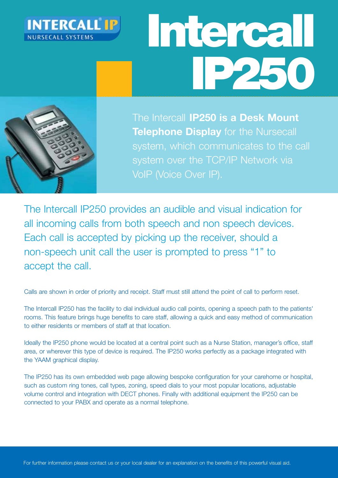

# Intercall IP250



The Intercall **IP250 is a Desk Mount Telephone Display** for the Nursecall system, which communicates to the call system over the TCP/IP Network via VoIP (Voice Over IP).

The Intercall IP250 provides an audible and visual indication for all incoming calls from both speech and non speech devices. Each call is accepted by picking up the receiver, should a non-speech unit call the user is prompted to press "1" to accept the call.

Calls are shown in order of priority and receipt. Staff must still attend the point of call to perform reset.

The Intercall IP250 has the facility to dial individual audio call points, opening a speech path to the patients' rooms. This feature brings huge benefits to care staff, allowing a quick and easy method of communication to either residents or members of staff at that location.

Ideally the IP250 phone would be located at a central point such as a Nurse Station, manager's office, staff area, or wherever this type of device is required. The IP250 works perfectly as a package integrated with the YAAM graphical display.

The IP250 has its own embedded web page allowing bespoke configuration for your carehome or hospital, such as custom ring tones, call types, zoning, speed dials to your most popular locations, adjustable volume control and integration with DECT phones. Finally with additional equipment the IP250 can be connected to your PABX and operate as a normal telephone.